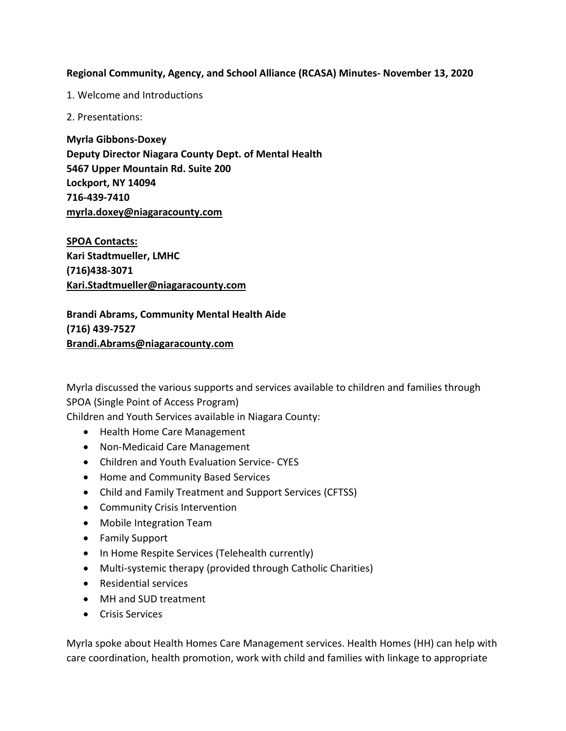## **Regional Community, Agency, and School Alliance (RCASA) Minutes- November 13, 2020**

1. Welcome and Introductions

2. Presentations:

**Myrla Gibbons-Doxey Deputy Director Niagara County Dept. of Mental Health 5467 Upper Mountain Rd. Suite 200 Lockport, NY 14094 716-439-7410 [myrla.doxey@niagaracounty.com](mailto:myrla.doxey@niagaracounty.com)**

**SPOA Contacts: Kari Stadtmueller, LMHC (716)438-3071 [Kari.Stadtmueller@niagaracounty.com](mailto:Kari.Stadtmueller@niagaracounty.com)**

**Brandi Abrams, Community Mental Health Aide (716) 439-7527 Brandi.Abrams@niagaracounty.com**

Myrla discussed the various supports and services available to children and families through SPOA (Single Point of Access Program) Children and Youth Services available in Niagara County:

- Health Home Care Management
- Non-Medicaid Care Management
- Children and Youth Evaluation Service- CYES
- Home and Community Based Services
- Child and Family Treatment and Support Services (CFTSS)
- Community Crisis Intervention
- Mobile Integration Team
- Family Support
- In Home Respite Services (Telehealth currently)
- Multi-systemic therapy (provided through Catholic Charities)
- Residential services
- MH and SUD treatment
- **•** Crisis Services

Myrla spoke about Health Homes Care Management services. Health Homes (HH) can help with care coordination, health promotion, work with child and families with linkage to appropriate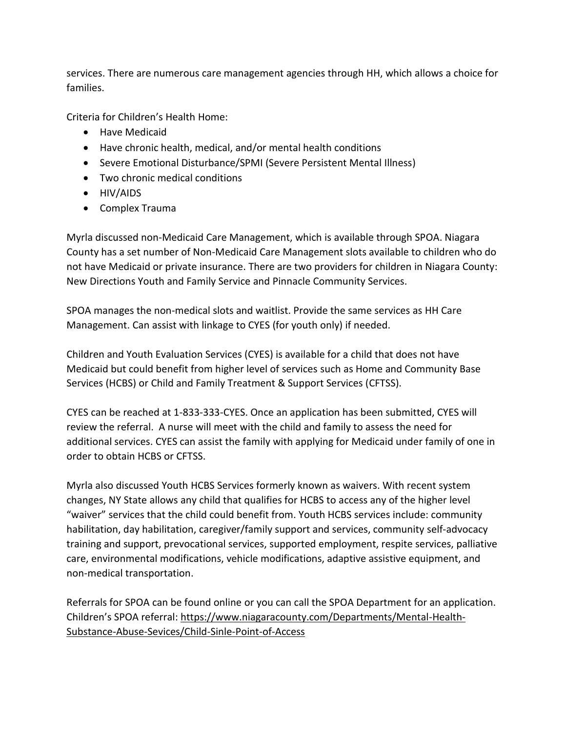services. There are numerous care management agencies through HH, which allows a choice for families.

Criteria for Children's Health Home:

- Have Medicaid
- Have chronic health, medical, and/or mental health conditions
- Severe Emotional Disturbance/SPMI (Severe Persistent Mental Illness)
- Two chronic medical conditions
- HIV/AIDS
- Complex Trauma

Myrla discussed non-Medicaid Care Management, which is available through SPOA. Niagara County has a set number of Non-Medicaid Care Management slots available to children who do not have Medicaid or private insurance. There are two providers for children in Niagara County: New Directions Youth and Family Service and Pinnacle Community Services.

SPOA manages the non-medical slots and waitlist. Provide the same services as HH Care Management. Can assist with linkage to CYES (for youth only) if needed.

Children and Youth Evaluation Services (CYES) is available for a child that does not have Medicaid but could benefit from higher level of services such as Home and Community Base Services (HCBS) or Child and Family Treatment & Support Services (CFTSS).

CYES can be reached at 1-833-333-CYES. Once an application has been submitted, CYES will review the referral. A nurse will meet with the child and family to assess the need for additional services. CYES can assist the family with applying for Medicaid under family of one in order to obtain HCBS or CFTSS.

Myrla also discussed Youth HCBS Services formerly known as waivers. With recent system changes, NY State allows any child that qualifies for HCBS to access any of the higher level "waiver" services that the child could benefit from. Youth HCBS services include: community habilitation, day habilitation, caregiver/family support and services, community self-advocacy training and support, prevocational services, supported employment, respite services, palliative care, environmental modifications, vehicle modifications, adaptive assistive equipment, and non-medical transportation.

Referrals for SPOA can be found online or you can call the SPOA Department for an application. Children's SPOA referral: [https://www.niagaracounty.com/Departments/Mental-Health-](https://www.niagaracounty.com/Departments/Mental-Health-Substance-Abuse-Sevices/Child-Sinle-Point-of-Access)[Substance-Abuse-Sevices/Child-Sinle-Point-of-Access](https://www.niagaracounty.com/Departments/Mental-Health-Substance-Abuse-Sevices/Child-Sinle-Point-of-Access)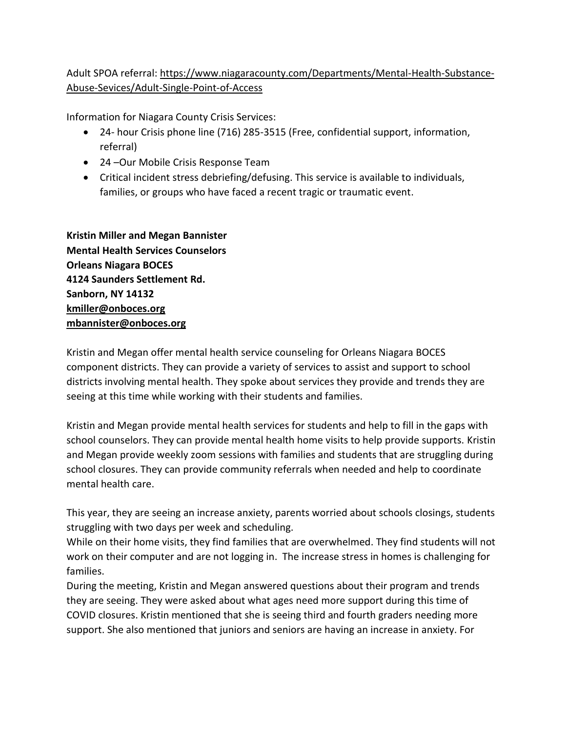# Adult SPOA referral: https://www.niagaracounty.com/Departments/Mental-Health-Substance-Abuse-Sevices/Adult-Single-Point-of-Access

Information for Niagara County Crisis Services:

- 24- hour Crisis phone line (716) 285-3515 (Free, confidential support, information, referral)
- 24 –Our Mobile Crisis Response Team
- Critical incident stress debriefing/defusing. This service is available to individuals, families, or groups who have faced a recent tragic or traumatic event.

**Kristin Miller and Megan Bannister Mental Health Services Counselors Orleans Niagara BOCES 4124 Saunders Settlement Rd. Sanborn, NY 14132 [kmiller@onboces.org](mailto:kmiller@onboces.org) [mbannister@onboces.org](mailto:mbannister@onboces.org)**

Kristin and Megan offer mental health service counseling for Orleans Niagara BOCES component districts. They can provide a variety of services to assist and support to school districts involving mental health. They spoke about services they provide and trends they are seeing at this time while working with their students and families.

Kristin and Megan provide mental health services for students and help to fill in the gaps with school counselors. They can provide mental health home visits to help provide supports. Kristin and Megan provide weekly zoom sessions with families and students that are struggling during school closures. They can provide community referrals when needed and help to coordinate mental health care.

This year, they are seeing an increase anxiety, parents worried about schools closings, students struggling with two days per week and scheduling.

While on their home visits, they find families that are overwhelmed. They find students will not work on their computer and are not logging in. The increase stress in homes is challenging for families.

During the meeting, Kristin and Megan answered questions about their program and trends they are seeing. They were asked about what ages need more support during this time of COVID closures. Kristin mentioned that she is seeing third and fourth graders needing more support. She also mentioned that juniors and seniors are having an increase in anxiety. For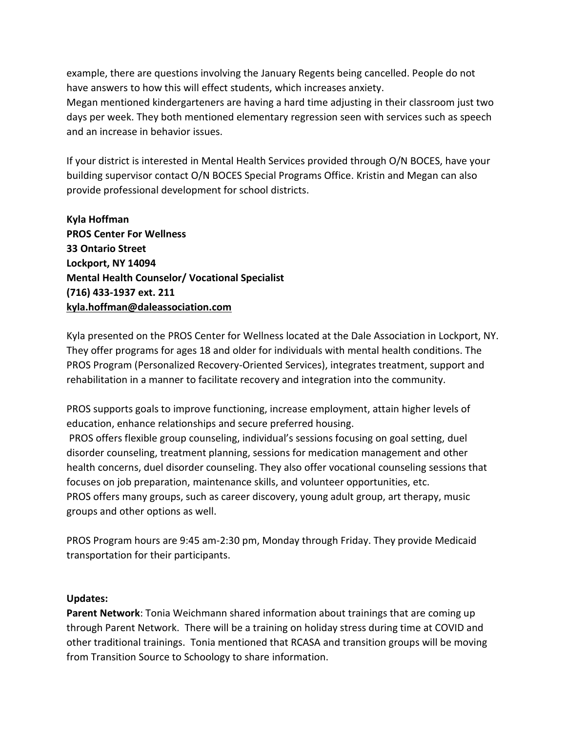example, there are questions involving the January Regents being cancelled. People do not have answers to how this will effect students, which increases anxiety.

Megan mentioned kindergarteners are having a hard time adjusting in their classroom just two days per week. They both mentioned elementary regression seen with services such as speech and an increase in behavior issues.

If your district is interested in Mental Health Services provided through O/N BOCES, have your building supervisor contact O/N BOCES Special Programs Office. Kristin and Megan can also provide professional development for school districts.

**Kyla Hoffman PROS Center For Wellness 33 Ontario Street Lockport, NY 14094 Mental Health Counselor/ Vocational Specialist (716) 433-1937 ext. 211 [kyla.hoffman@daleassociation.com](mailto:kyla.hoffman@daleassociation.com)**

Kyla presented on the PROS Center for Wellness located at the Dale Association in Lockport, NY. They offer programs for ages 18 and older for individuals with mental health conditions. The PROS Program (Personalized Recovery-Oriented Services), integrates treatment, support and rehabilitation in a manner to facilitate recovery and integration into the community.

PROS supports goals to improve functioning, increase employment, attain higher levels of education, enhance relationships and secure preferred housing. PROS offers flexible group counseling, individual's sessions focusing on goal setting, duel disorder counseling, treatment planning, sessions for medication management and other health concerns, duel disorder counseling. They also offer vocational counseling sessions that focuses on job preparation, maintenance skills, and volunteer opportunities, etc. PROS offers many groups, such as career discovery, young adult group, art therapy, music groups and other options as well.

PROS Program hours are 9:45 am-2:30 pm, Monday through Friday. They provide Medicaid transportation for their participants.

#### **Updates:**

**Parent Network**: Tonia Weichmann shared information about trainings that are coming up through Parent Network. There will be a training on holiday stress during time at COVID and other traditional trainings. Tonia mentioned that RCASA and transition groups will be moving from Transition Source to Schoology to share information.